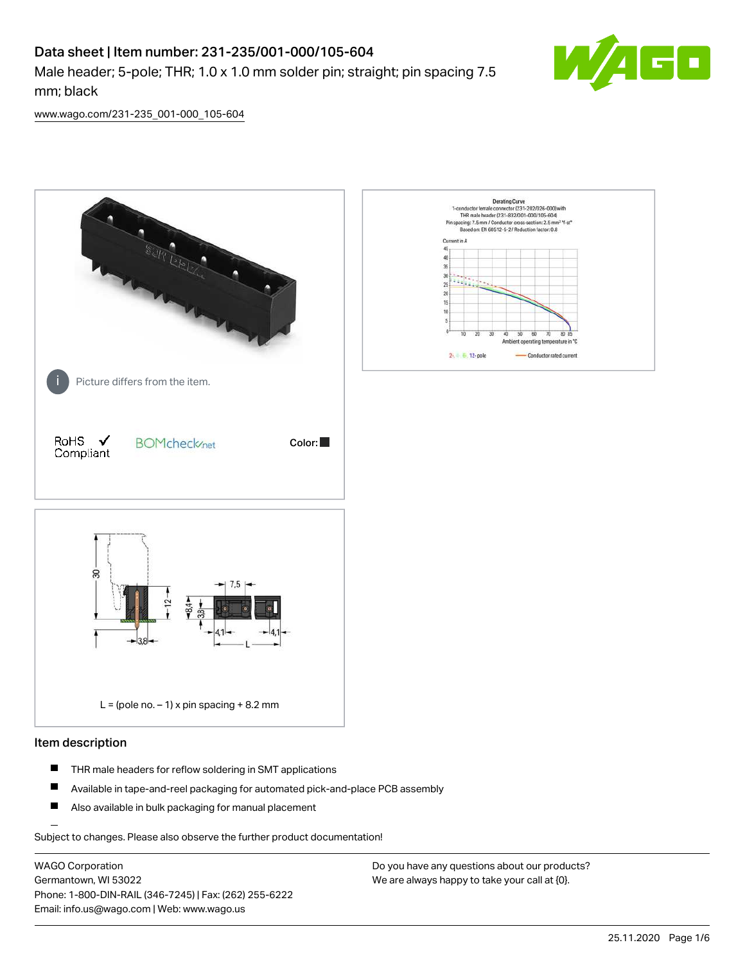# Data sheet | Item number: 231-235/001-000/105-604

Male header; 5-pole; THR; 1.0 x 1.0 mm solder pin; straight; pin spacing 7.5 mm; black



[www.wago.com/231-235\\_001-000\\_105-604](http://www.wago.com/231-235_001-000_105-604)



#### Item description

- $\blacksquare$ THR male headers for reflow soldering in SMT applications
- $\blacksquare$ Available in tape-and-reel packaging for automated pick-and-place PCB assembly
- $\blacksquare$ Also available in bulk packaging for manual placement

Subject to changes. Please also observe the further product documentation!

WAGO Corporation Germantown, WI 53022 Phone: 1-800-DIN-RAIL (346-7245) | Fax: (262) 255-6222 Email: info.us@wago.com | Web: www.wago.us

Do you have any questions about our products? We are always happy to take your call at {0}.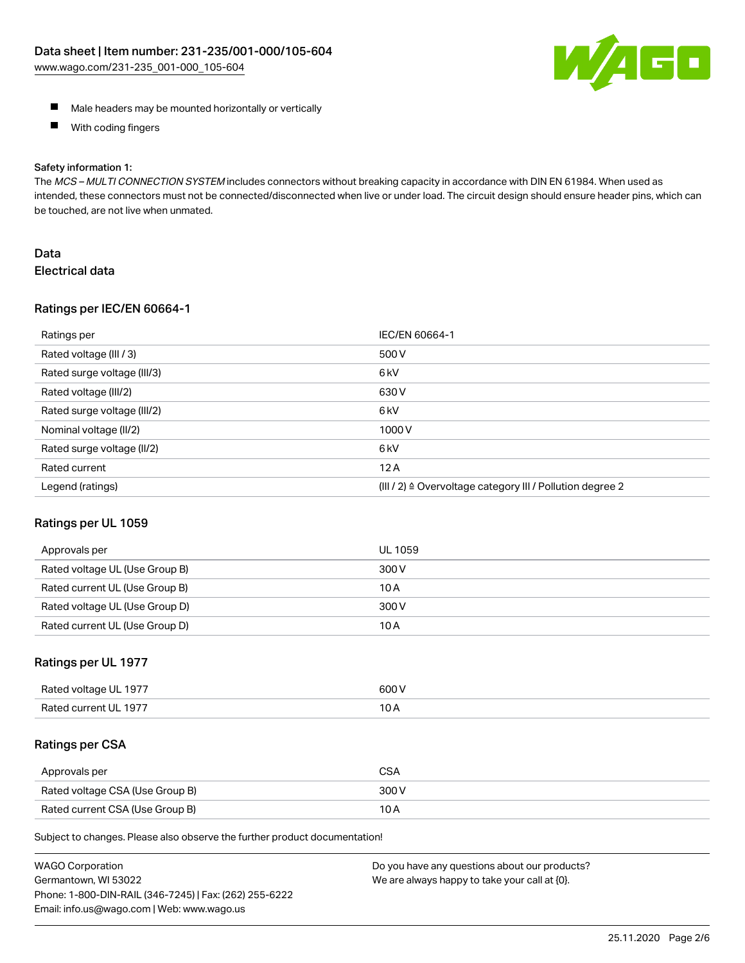

- **Male headers may be mounted horizontally or vertically**
- $\blacksquare$ With coding fingers

#### Safety information 1:

The MCS - MULTI CONNECTION SYSTEM includes connectors without breaking capacity in accordance with DIN EN 61984. When used as intended, these connectors must not be connected/disconnected when live or under load. The circuit design should ensure header pins, which can be touched, are not live when unmated.

# Data Electrical data

#### Ratings per IEC/EN 60664-1

| Ratings per                 | IEC/EN 60664-1                                                        |
|-----------------------------|-----------------------------------------------------------------------|
| Rated voltage (III / 3)     | 500 V                                                                 |
| Rated surge voltage (III/3) | 6 <sub>k</sub> V                                                      |
| Rated voltage (III/2)       | 630 V                                                                 |
| Rated surge voltage (III/2) | 6 <sub>k</sub> V                                                      |
| Nominal voltage (II/2)      | 1000V                                                                 |
| Rated surge voltage (II/2)  | 6 <sub>k</sub> V                                                      |
| Rated current               | 12A                                                                   |
| Legend (ratings)            | $(III / 2)$ $\triangle$ Overvoltage category III / Pollution degree 2 |

#### Ratings per UL 1059

| Approvals per                  | UL 1059 |
|--------------------------------|---------|
| Rated voltage UL (Use Group B) | 300 V   |
| Rated current UL (Use Group B) | 10 A    |
| Rated voltage UL (Use Group D) | 300 V   |
| Rated current UL (Use Group D) | 10 A    |

#### Ratings per UL 1977

| Rated<br>anstlov b<br>-197.<br>ווי | ANO N |
|------------------------------------|-------|
| Rater                              | 10    |
| -197                               | IVA   |
|                                    |       |

#### Ratings per CSA

| Approvals per                   | <b>CSA</b> |
|---------------------------------|------------|
| Rated voltage CSA (Use Group B) | 300 V      |
| Rated current CSA (Use Group B) | 10 A       |

Subject to changes. Please also observe the further product documentation!

| <b>WAGO Corporation</b>                                | Do you have any questions about our products? |
|--------------------------------------------------------|-----------------------------------------------|
| Germantown, WI 53022                                   | We are always happy to take your call at {0}. |
| Phone: 1-800-DIN-RAIL (346-7245)   Fax: (262) 255-6222 |                                               |
| Email: info.us@wago.com   Web: www.wago.us             |                                               |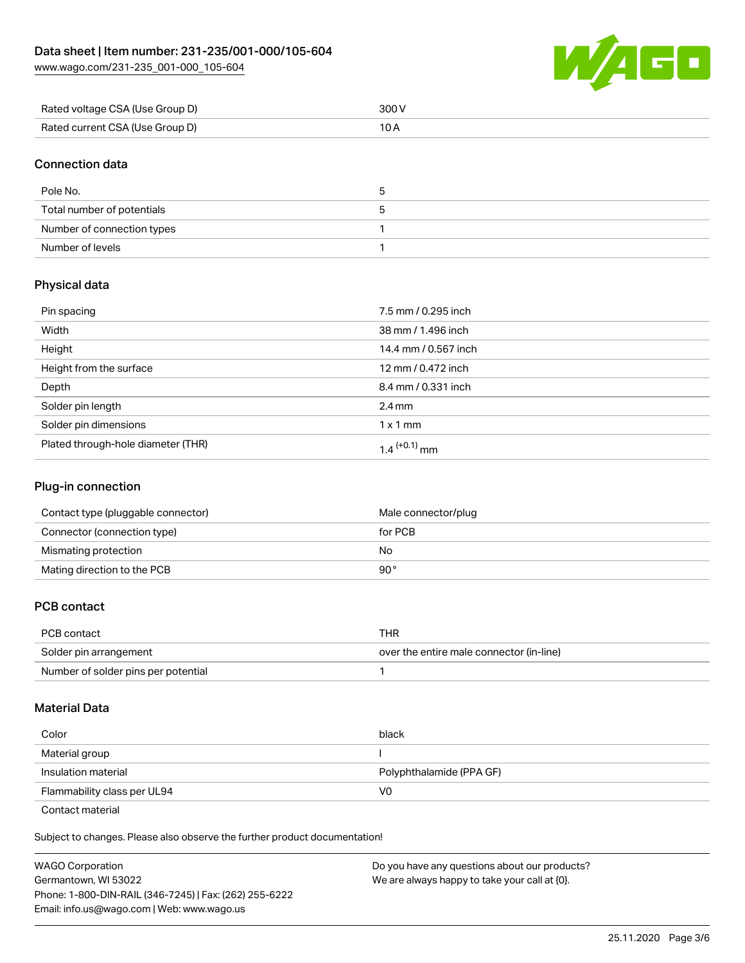[www.wago.com/231-235\\_001-000\\_105-604](http://www.wago.com/231-235_001-000_105-604)



| Rated voltage CSA (Use Group D) | 300 V |
|---------------------------------|-------|
| Rated current CSA (Use Group D) |       |

# Connection data

| Pole No.                   | ≎ |
|----------------------------|---|
| Total number of potentials |   |
| Number of connection types |   |
| Number of levels           |   |

# Physical data

| Pin spacing                        | 7.5 mm / 0.295 inch      |
|------------------------------------|--------------------------|
| Width                              | 38 mm / 1.496 inch       |
| Height                             | 14.4 mm / 0.567 inch     |
| Height from the surface            | 12 mm / 0.472 inch       |
| Depth                              | 8.4 mm / 0.331 inch      |
| Solder pin length                  | $2.4 \text{ mm}$         |
| Solder pin dimensions              | $1 \times 1$ mm          |
| Plated through-hole diameter (THR) | 1.4 <sup>(+0.1)</sup> mm |

# Plug-in connection

| Contact type (pluggable connector) | Male connector/plug |
|------------------------------------|---------------------|
| Connector (connection type)        | for PCB             |
| Mismating protection               | No                  |
| Mating direction to the PCB        | 90°                 |

# PCB contact

| PCB contact                         | THR                                      |
|-------------------------------------|------------------------------------------|
| Solder pin arrangement              | over the entire male connector (in-line) |
| Number of solder pins per potential |                                          |

#### Material Data

| Color                       | black                    |
|-----------------------------|--------------------------|
| Material group              |                          |
| Insulation material         | Polyphthalamide (PPA GF) |
| Flammability class per UL94 | V0                       |

Contact material

Subject to changes. Please also observe the further product documentation!  $\mathbf{E}$ 

| Do you have any questions about our products? |
|-----------------------------------------------|
|                                               |
|                                               |
|                                               |
|                                               |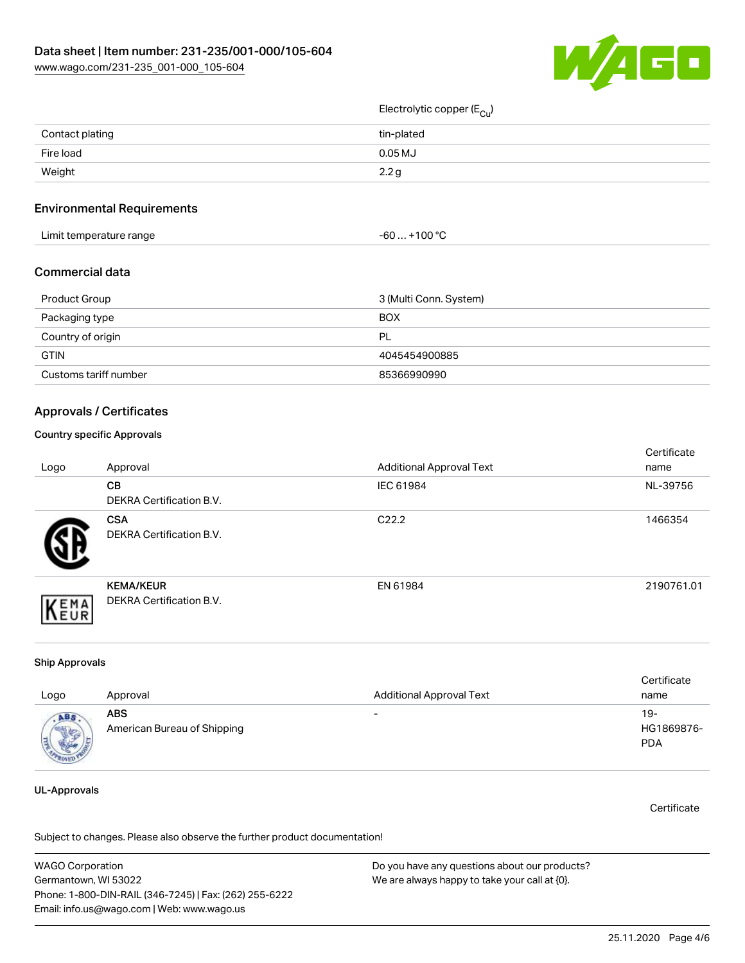

# Electrolytic copper (E<sub>Cu</sub>)

| Contact plating | tin-plated       |
|-----------------|------------------|
| Fire load       | $0.05$ MJ        |
| Weight          | 2.2 <sub>g</sub> |

#### Environmental Requirements

| Limit temperature range | +100 °C<br>-60  - |  |
|-------------------------|-------------------|--|
|-------------------------|-------------------|--|

#### Commercial data

| Product Group         | 3 (Multi Conn. System) |
|-----------------------|------------------------|
| Packaging type        | <b>BOX</b>             |
| Country of origin     | <b>PL</b>              |
| <b>GTIN</b>           | 4045454900885          |
| Customs tariff number | 85366990990            |

#### Approvals / Certificates

#### Country specific Approvals

| Logo | Approval                                            | <b>Additional Approval Text</b> | Certificate<br>name |
|------|-----------------------------------------------------|---------------------------------|---------------------|
|      | <b>CB</b><br><b>DEKRA Certification B.V.</b>        | IEC 61984                       | NL-39756            |
|      | <b>CSA</b><br>DEKRA Certification B.V.              | C <sub>22.2</sub>               | 1466354             |
| EMA  | <b>KEMA/KEUR</b><br><b>DEKRA Certification B.V.</b> | EN 61984                        | 2190761.01          |

#### Ship Approvals

| Logo                            | Approval                                  | <b>Additional Approval Text</b> | Certificate<br>name             |
|---------------------------------|-------------------------------------------|---------------------------------|---------------------------------|
| <b>ABS</b><br><b>CONTRACTOR</b> | <b>ABS</b><br>American Bureau of Shipping | $\overline{\phantom{a}}$        | 19-<br>HG1869876-<br><b>PDA</b> |

## UL-Approvals

**Certificate** 

Subject to changes. Please also observe the further product documentation!

WAGO Corporation Germantown, WI 53022 Phone: 1-800-DIN-RAIL (346-7245) | Fax: (262) 255-6222 Email: info.us@wago.com | Web: www.wago.us Do you have any questions about our products? We are always happy to take your call at {0}.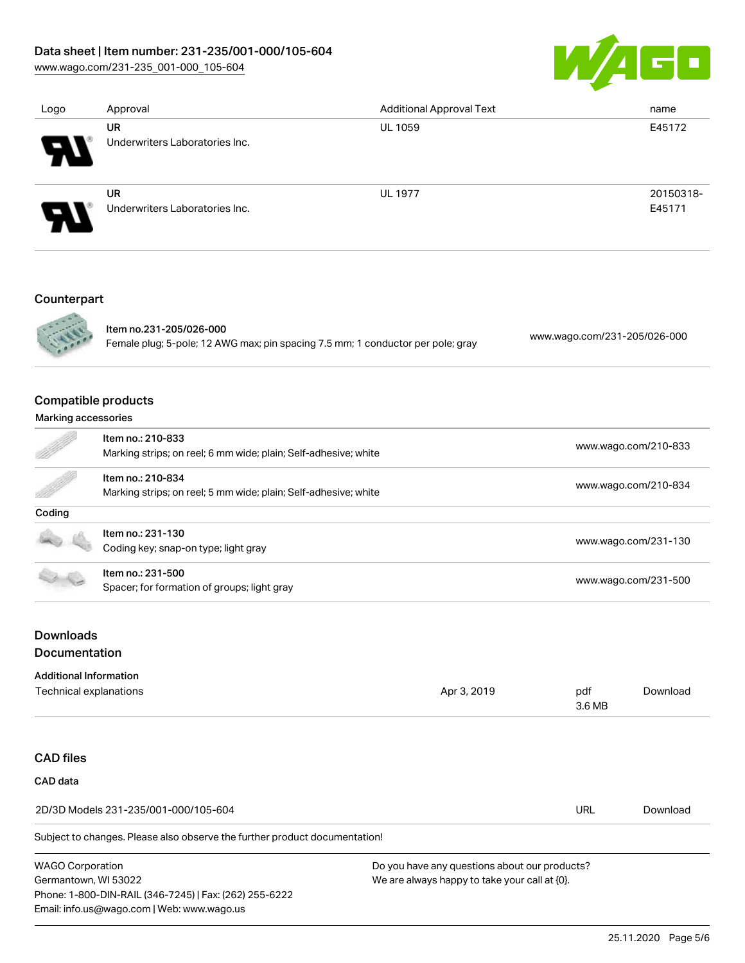# Data sheet | Item number: 231-235/001-000/105-604

[www.wago.com/231-235\\_001-000\\_105-604](http://www.wago.com/231-235_001-000_105-604)



| Logo                       | Approval                                    | <b>Additional Approval Text</b> | name                |
|----------------------------|---------------------------------------------|---------------------------------|---------------------|
| $\boldsymbol{\theta}$      | <b>UR</b><br>Underwriters Laboratories Inc. | <b>UL 1059</b>                  | E45172              |
| $\boldsymbol{\mathcal{P}}$ | <b>UR</b><br>Underwriters Laboratories Inc. | <b>UL 1977</b>                  | 20150318-<br>E45171 |
|                            |                                             |                                 |                     |

# Counterpart



Item no.231-205/026-000 Female plug; 5-pole; 12 AWG max; pin spacing 7.5 mm; 1 conductor per pole; gray [www.wago.com/231-205/026-000](https://www.wago.com/231-205/026-000)

## Compatible products

#### Marking accessories

|        | Item no.: 210-833<br>Marking strips; on reel; 6 mm wide; plain; Self-adhesive; white | www.wago.com/210-833 |
|--------|--------------------------------------------------------------------------------------|----------------------|
|        | Item no.: 210-834<br>Marking strips; on reel; 5 mm wide; plain; Self-adhesive; white | www.wago.com/210-834 |
| Coding |                                                                                      |                      |
|        | Item no.: 231-130<br>Coding key; snap-on type; light gray                            | www.wago.com/231-130 |
|        | Item no.: 231-500<br>Spacer; for formation of groups; light gray                     | www.wago.com/231-500 |
|        |                                                                                      |                      |

# **Downloads** Documentation

# Additional Information

| Technical explanations | Apr 3, 2019 | pdf          | ownloac |
|------------------------|-------------|--------------|---------|
|                        |             | .6 MB<br>___ |         |
|                        |             |              |         |

# CAD files

# CAD data 2D/3D Models 231-235/001-000/105-604 URL [Download](https://www.wago.com/us/d/3D_URLS_231-235_001-000_105-604)

Subject to changes. Please also observe the further product documentation!

WAGO Corporation Germantown, WI 53022 Phone: 1-800-DIN-RAIL (346-7245) | Fax: (262) 255-6222 Email: info.us@wago.com | Web: www.wago.us

Do you have any questions about our products? We are always happy to take your call at {0}.